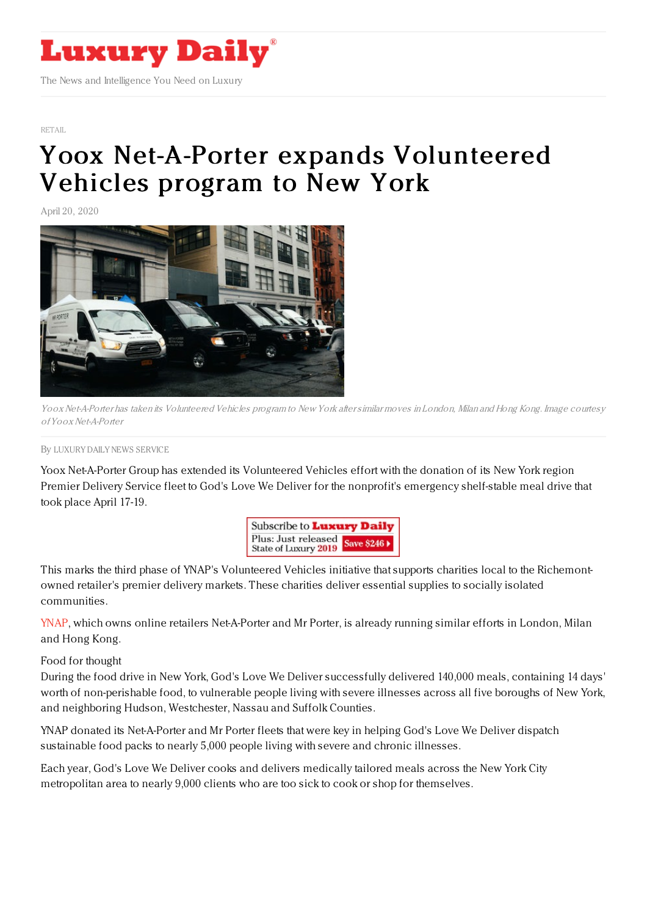

[RETAIL](https://www.luxurydaily.com/category/sectors/retail-industry-sectors/)

## Yoox Net-A-Porter expands [Volunteered](https://www.luxurydaily.com/yoox-net-a-porter-expands-volunteered-vehicles-program-to-new-york/) Vehicles program to New York

April 20, 2020



Yoox Net-A-Porter has taken its Volunteered Vehicles program to New York aftersimilar moves in London, Milan and Hong Kong. Image courtesy ofYoox Net-A-Porter

## By LUXURY DAILY NEWS [SERVICE](file:///author/luxury-daily-news-service)

Yoox Net-A-Porter Group has extended its Volunteered Vehicles effort with the donation of its New York region Premier Delivery Service fleet to God's Love We Deliver for the nonprofit's emergency shelf-stable meal drive that took place April 17-19.



This marks the third phase of YNAP's Volunteered Vehicles initiative that supports charities local to the Richemontowned retailer's premier delivery markets. These charities deliver essential supplies to socially isolated communities.

[YNAP](http://www.ynap.com), which owns online retailers Net-A-Porter and Mr Porter, is already running similar efforts in London, Milan and Hong Kong.

Food for thought

During the food drive in New York, God's Love We Deliver successfully delivered 140,000 meals, containing 14 days' worth of non-perishable food, to vulnerable people living with severe illnesses across all five boroughs of New York, and neighboring Hudson, Westchester, Nassau and Suffolk Counties.

YNAP donated its Net-A-Porter and Mr Porter fleets that were key in helping God's Love We Deliver dispatch sustainable food packs to nearly 5,000 people living with severe and chronic illnesses.

Each year, God's Love We Deliver cooks and delivers medically tailored meals across the New York City metropolitan area to nearly 9,000 clients who are too sick to cook or shop for themselves.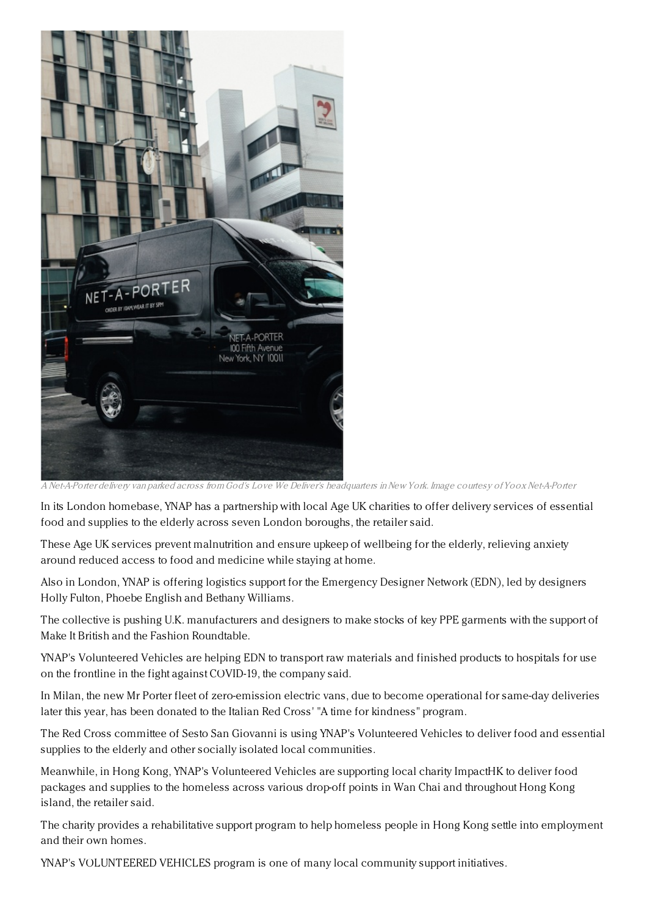

A Net-A-Porter delivery van parked across from God's Love We Deliver's headquarters inNew York. Image courtesy ofYoox Net-A-Porter

In its London homebase, YNAP has a partnership with local Age UK charities to offer delivery services of essential food and supplies to the elderly across seven London boroughs, the retailer said.

These Age UK services prevent malnutrition and ensure upkeep of wellbeing for the elderly, relieving anxiety around reduced access to food and medicine while staying at home.

Also in London, YNAP is offering logistics support for the Emergency Designer Network (EDN), led by designers Holly Fulton, Phoebe English and Bethany Williams.

The collective is pushing U.K. manufacturers and designers to make stocks of key PPE garments with the support of Make It British and the Fashion Roundtable.

YNAP's Volunteered Vehicles are helping EDN to transport raw materials and finished products to hospitals for use on the frontline in the fight against COVID-19, the company said.

In Milan, the new Mr Porter fleet of zero-emission electric vans, due to become operational for same-day deliveries later this year, has been donated to the Italian Red Cross' "A time for kindness" program.

The Red Cross committee of Sesto San Giovanni is using YNAP's Volunteered Vehicles to deliver food and essential supplies to the elderly and other socially isolated local communities.

Meanwhile, in Hong Kong, YNAP's Volunteered Vehicles are supporting local charity ImpactHK to deliver food packages and supplies to the homeless across various drop-off points in Wan Chai and throughout Hong Kong island, the retailer said.

The charity provides a rehabilitative support program to help homeless people in Hong Kong settle into employment and their own homes.

YNAP's VOLUNTEERED VEHICLES program is one of many local community support initiatives.